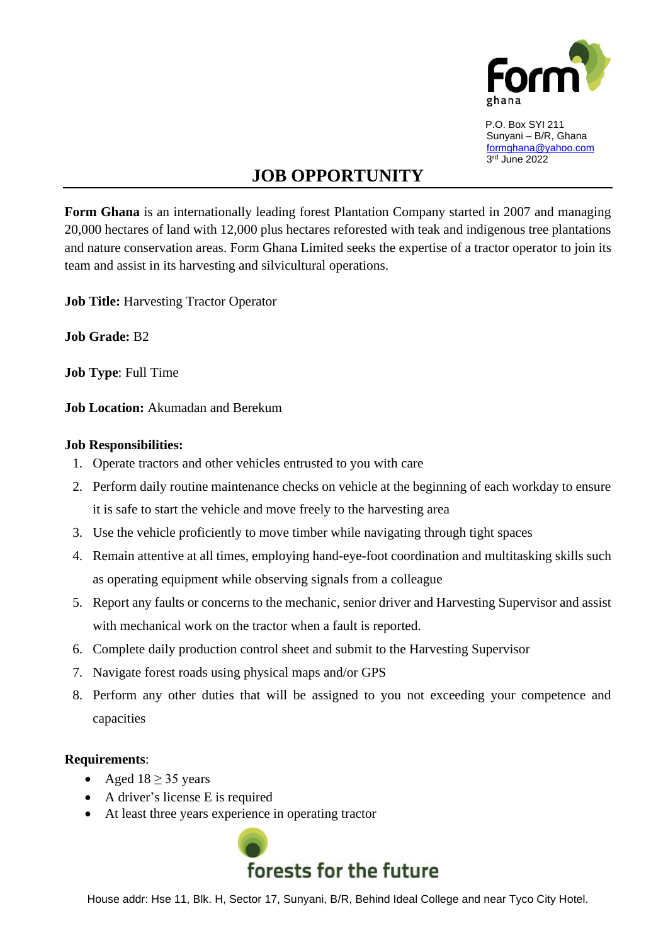

 P.O. Box SYI 211 Sunyani – B/R, Ghana [formghana@yahoo.com](mailto:formghana@yahoo.com) 3 rd June 2022

## **JOB OPPORTUNITY**

**Form Ghana** is an internationally leading forest Plantation Company started in 2007 and managing 20,000 hectares of land with 12,000 plus hectares reforested with teak and indigenous tree plantations and nature conservation areas. Form Ghana Limited seeks the expertise of a tractor operator to join its team and assist in its harvesting and silvicultural operations.

**Job Title:** Harvesting Tractor Operator

**Job Grade:** B2

**Job Type**: Full Time

**Job Location:** Akumadan and Berekum

## **Job Responsibilities:**

- 1. Operate tractors and other vehicles entrusted to you with care
- 2. Perform daily routine maintenance checks on vehicle at the beginning of each workday to ensure it is safe to start the vehicle and move freely to the harvesting area
- 3. Use the vehicle proficiently to move timber while navigating through tight spaces
- 4. Remain attentive at all times, employing hand-eye-foot coordination and multitasking skills such as operating equipment while observing signals from a colleague
- 5. Report any faults or concerns to the mechanic, senior driver and Harvesting Supervisor and assist with mechanical work on the tractor when a fault is reported.
- 6. Complete daily production control sheet and submit to the Harvesting Supervisor
- 7. Navigate forest roads using physical maps and/or GPS
- 8. Perform any other duties that will be assigned to you not exceeding your competence and capacities

## **Requirements**:

- Aged  $18 \geq 35$  years
- A driver's license E is required
- At least three years experience in operating tractor



House addr: Hse 11, Blk. H, Sector 17, Sunyani, B/R, Behind Ideal College and near Tyco City Hotel.